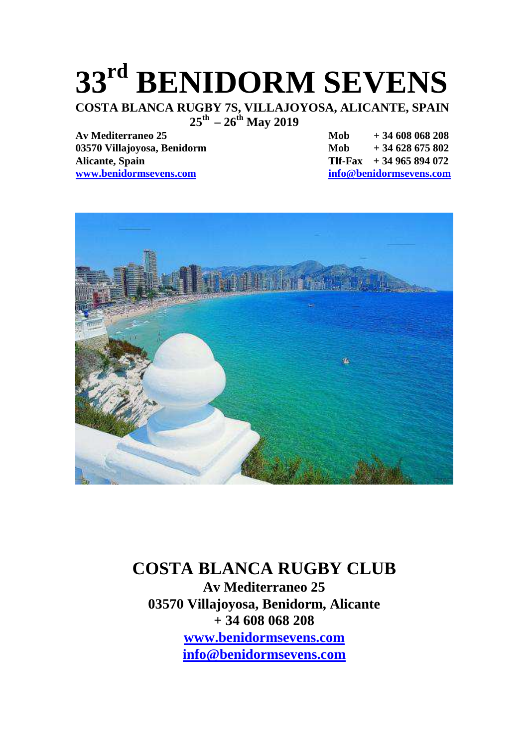## **33rd BENIDORM SEVENS**

**COSTA BLANCA RUGBY 7S, VILLAJOYOSA, ALICANTE, SPAIN 25th – 26th May 2019** 

03570 Villajovosa, Benidorm Mob + 34 628 675 802 **Alicante, Spain Tlf-Fax + 34 965 894 072 www.benidormsevens.com info@benidormsevens.com**

**Av Mediterraneo 25 Mob + 34 608 068 208**



#### **COSTA BLANCA RUGBY CLUB**

**Av Mediterraneo 25 03570 Villajoyosa, Benidorm, Alicante + 34 608 068 208 www.benidormsevens.com info@benidormsevens.com**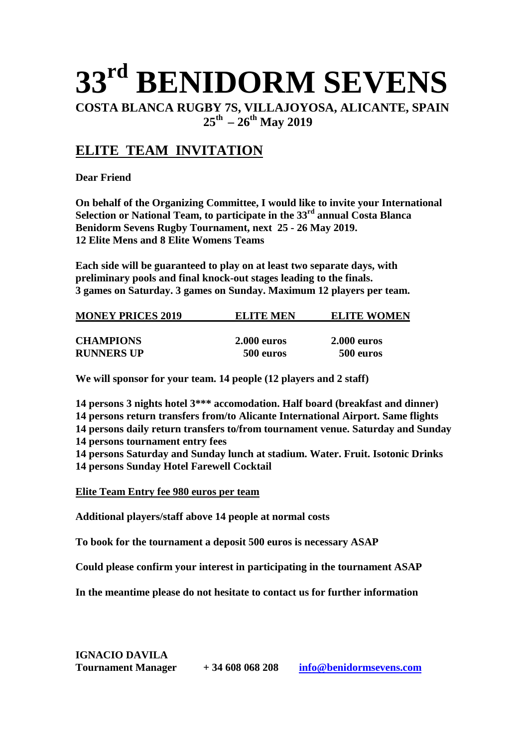## **33rd BENIDORM SEVENS**

**COSTA BLANCA RUGBY 7S, VILLAJOYOSA, ALICANTE, SPAIN 25th – 26th May 2019** 

#### **ELITE TEAM INVITATION**

**Dear Friend** 

**On behalf of the Organizing Committee, I would like to invite your International Selection or National Team, to participate in the 33 rd annual Costa Blanca Benidorm Sevens Rugby Tournament, next 25 - 26 May 2019. 12 Elite Mens and 8 Elite Womens Teams** 

**Each side will be guaranteed to play on at least two separate days, with preliminary pools and final knock-out stages leading to the finals. 3 games on Saturday. 3 games on Sunday. Maximum 12 players per team.** 

| <b>MONEY PRICES 2019</b> | ELITE MEN          | <b>ELITE WOMEN</b> |  |
|--------------------------|--------------------|--------------------|--|
| <b>CHAMPIONS</b>         | <b>2.000 euros</b> | <b>2.000 euros</b> |  |
| <b>RUNNERS UP</b>        | 500 euros          | 500 euros          |  |

**We will sponsor for your team. 14 people (12 players and 2 staff)** 

**14 persons 3 nights hotel 3\*\*\* accomodation. Half board (breakfast and dinner)** 

**14 persons return transfers from/to Alicante International Airport. Same flights** 

**14 persons daily return transfers to/from tournament venue. Saturday and Sunday** 

**14 persons tournament entry fees** 

**14 persons Saturday and Sunday lunch at stadium. Water. Fruit. Isotonic Drinks 14 persons Sunday Hotel Farewell Cocktail** 

**Elite Team Entry fee 980 euros per team**

**Additional players/staff above 14 people at normal costs** 

**To book for the tournament a deposit 500 euros is necessary ASAP** 

**Could please confirm your interest in participating in the tournament ASAP** 

**In the meantime please do not hesitate to contact us for further information**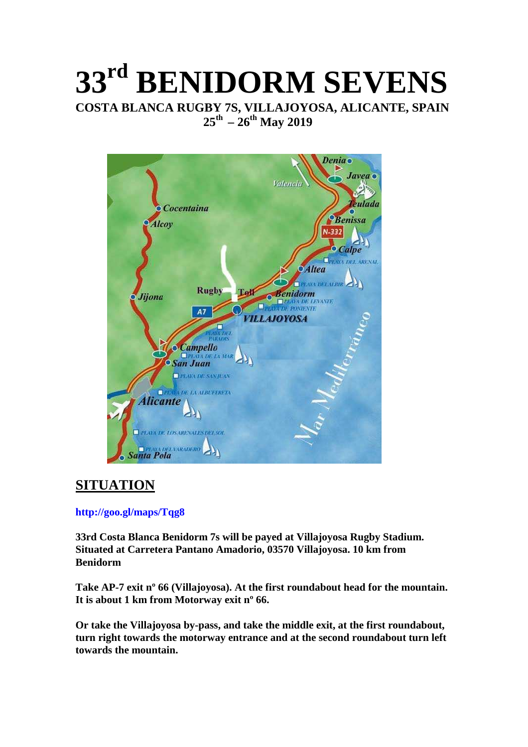## **33rd BENIDORM SEVENS COSTA BLANCA RUGBY 7S, VILLAJOYOSA, ALICANTE, SPAIN 25th – 26th May 2019**



#### **SITUATION**

#### **http://goo.gl/maps/Tqg8**

**33rd Costa Blanca Benidorm 7s will be payed at Villajoyosa Rugby Stadium. Situated at Carretera Pantano Amadorio, 03570 Villajoyosa. 10 km from Benidorm** 

**Take AP-7 exit nº 66 (Villajoyosa). At the first roundabout head for the mountain. It is about 1 km from Motorway exit nº 66.** 

**Or take the Villajoyosa by-pass, and take the middle exit, at the first roundabout, turn right towards the motorway entrance and at the second roundabout turn left towards the mountain.**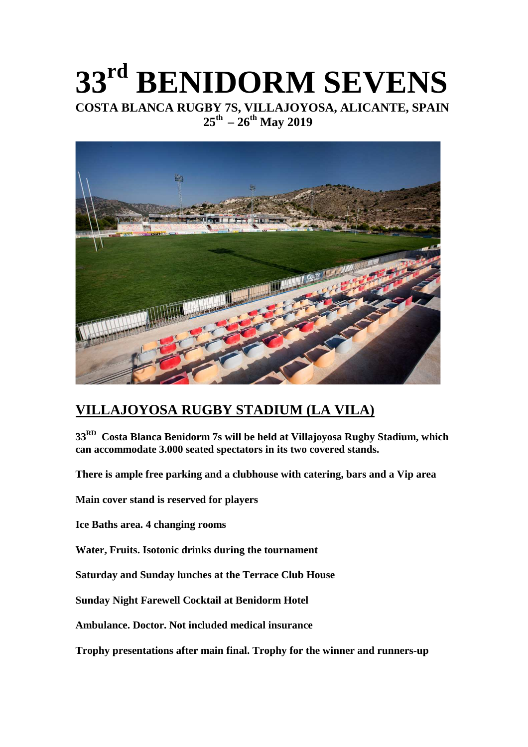## **33rd BENIDORM SEVENS COSTA BLANCA RUGBY 7S, VILLAJOYOSA, ALICANTE, SPAIN**  $25^{th}$  –  $26^{th}$  May 2019



#### **VILLAJOYOSA RUGBY STADIUM (LA VILA)**

**33RD Costa Blanca Benidorm 7s will be held at Villajoyosa Rugby Stadium, which can accommodate 3.000 seated spectators in its two covered stands.** 

**There is ample free parking and a clubhouse with catering, bars and a Vip area** 

**Main cover stand is reserved for players** 

**Ice Baths area. 4 changing rooms** 

**Water, Fruits. Isotonic drinks during the tournament** 

**Saturday and Sunday lunches at the Terrace Club House** 

**Sunday Night Farewell Cocktail at Benidorm Hotel** 

**Ambulance. Doctor. Not included medical insurance** 

**Trophy presentations after main final. Trophy for the winner and runners-up**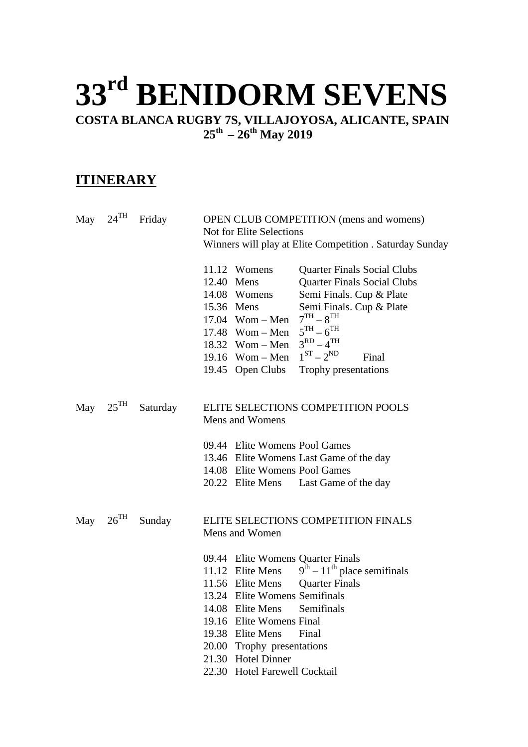# **33rd BENIDORM SEVENS**

**COSTA BLANCA RUGBY 7S, VILLAJOYOSA, ALICANTE, SPAIN 25th – 26th May 2019** 

#### **ITINERARY**

| May $24$ <sup>TH</sup> | Friday   | <b>OPEN CLUB COMPETITION</b> (mens and womens)<br><b>Not for Elite Selections</b><br>Winners will play at Elite Competition . Saturday Sunday                                                                                                                                                                                                                                                               |  |  |  |
|------------------------|----------|-------------------------------------------------------------------------------------------------------------------------------------------------------------------------------------------------------------------------------------------------------------------------------------------------------------------------------------------------------------------------------------------------------------|--|--|--|
|                        |          | 11.12 Womens<br><b>Quarter Finals Social Clubs</b><br>12.40 Mens<br><b>Quarter Finals Social Clubs</b><br>Semi Finals. Cup & Plate<br>14.08 Womens<br>15.36 Mens<br>Semi Finals. Cup & Plate<br>$7TH - 8TH$<br>$17.04$ Wom – Men<br>$5TH - 6TH$<br>$17.48$ Wom – Men<br>$3^{RD} - 4^{TH}$<br>18.32 Wom $-$ Men<br>$1^{ST}-2^{ND}$<br>19.16 Wom $-$ Men<br>Final<br>19.45 Open Clubs<br>Trophy presentations |  |  |  |
| May $25^{\text{TH}}$   | Saturday | ELITE SELECTIONS COMPETITION POOLS<br>Mens and Womens                                                                                                                                                                                                                                                                                                                                                       |  |  |  |
|                        |          | 09.44 Elite Womens Pool Games<br>13.46 Elite Womens Last Game of the day<br>14.08 Elite Womens Pool Games<br>20.22 Elite Mens Last Game of the day                                                                                                                                                                                                                                                          |  |  |  |
| May $26TH$             | Sunday   | ELITE SELECTIONS COMPETITION FINALS<br>Mens and Women                                                                                                                                                                                                                                                                                                                                                       |  |  |  |
|                        |          | 09.44 Elite Womens Quarter Finals<br>11.12 Elite Mens $9^{th} - 11^{th}$ place semifinals<br>11.56 Elite Mens<br><b>Quarter Finals</b><br>13.24 Elite Womens Semifinals<br>14.08 Elite Mens Semifinals<br>Elite Womens Final<br>19.16<br>19.38 Elite Mens<br>Final<br>20.00<br>Trophy presentations<br>21.30 Hotel Dinner<br>22.30 Hotel Farewell Cocktail                                                  |  |  |  |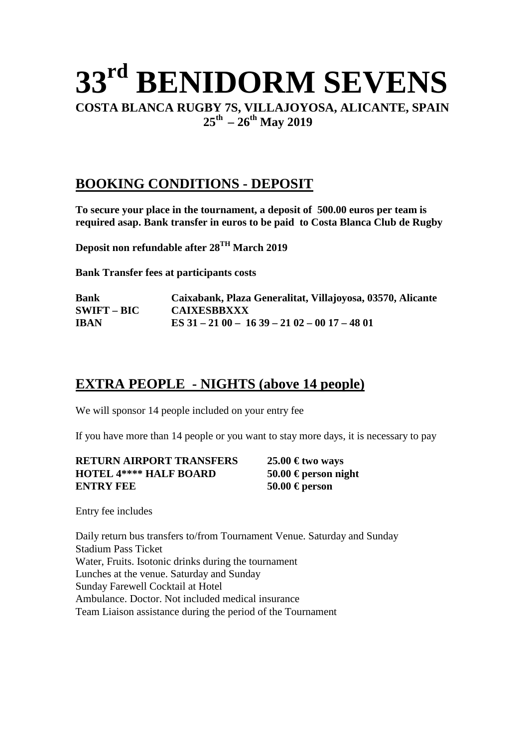## **33rd BENIDORM SEVENS COSTA BLANCA RUGBY 7S, VILLAJOYOSA, ALICANTE, SPAIN 25th – 26th May 2019**

#### **BOOKING CONDITIONS - DEPOSIT**

**To secure your place in the tournament, a deposit of 500.00 euros per team is required asap. Bank transfer in euros to be paid to Costa Blanca Club de Rugby** 

**Deposit non refundable after 28TH March 2019** 

**Bank Transfer fees at participants costs** 

| <b>Bank</b>   | Caixabank, Plaza Generalitat, Villajoyosa, 03570, Alicante |
|---------------|------------------------------------------------------------|
| $SWIFT - BIC$ | <b>CAIXESBBXXX</b>                                         |
| <b>IBAN</b>   | ES $31 - 2100 - 1639 - 2102 - 0017 - 4801$                 |

#### **EXTRA PEOPLE - NIGHTS (above 14 people)**

We will sponsor 14 people included on your entry fee

If you have more than 14 people or you want to stay more days, it is necessary to pay

| <b>RETURN AIRPORT TRANSFERS</b> | $25.00 \text{ } \in$ two ways |
|---------------------------------|-------------------------------|
| <b>HOTEL 4**** HALF BOARD</b>   | 50.00 € person night          |
| ENTRY FEE                       | 50.00 € person                |

Entry fee includes

Daily return bus transfers to/from Tournament Venue. Saturday and Sunday Stadium Pass Ticket Water, Fruits. Isotonic drinks during the tournament Lunches at the venue. Saturday and Sunday Sunday Farewell Cocktail at Hotel Ambulance. Doctor. Not included medical insurance Team Liaison assistance during the period of the Tournament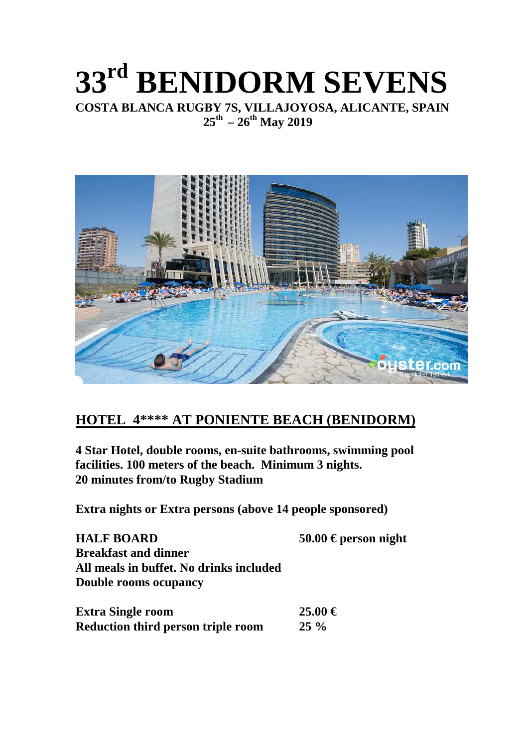### **33rd BENIDORM SEVENS COSTA BLANCA RUGBY 7S, VILLAJOYOSA, ALICANTE, SPAIN 25th – 26th May 2019**



#### **HOTEL 4\*\*\*\* AT PONIENTE BEACH (BENIDORM)**

**4 Star Hotel, double rooms, en-suite bathrooms, swimming pool facilities. 100 meters of the beach. Minimum 3 nights. 20 minutes from/to Rugby Stadium** 

**Extra nights or Extra persons (above 14 people sponsored)** 

| <b>HALF BOARD</b>                       | 50.00 € person night |
|-----------------------------------------|----------------------|
| <b>Breakfast and dinner</b>             |                      |
| All meals in buffet. No drinks included |                      |
| <b>Double rooms ocupancy</b>            |                      |
|                                         |                      |
| - - -                                   | - - ^ ^ <i>^</i>     |

| <b>Extra Single room</b>                  | $25.00 \in$ |
|-------------------------------------------|-------------|
| <b>Reduction third person triple room</b> | $25\%$      |